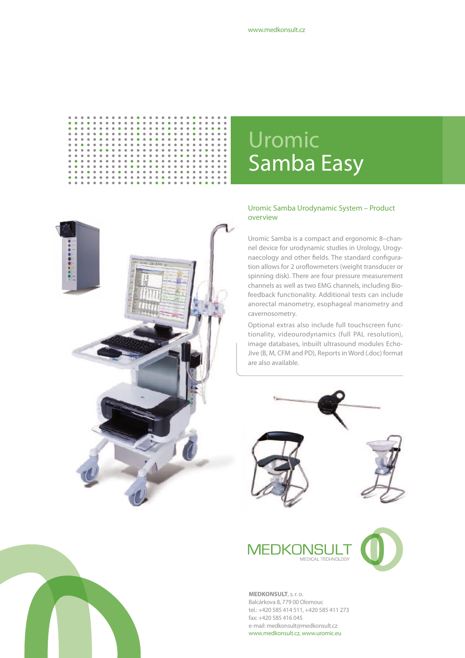$\begin{array}{c} \bullet \\ \bullet \\ \bullet \end{array}$  $\ddot{\phantom{a}}$  $\bullet$ 

 $\alpha$  $\ddot{\phantom{a}}$ 

 $\bullet$  $\bullet$  $\bullet$  $\bullet$ 

 $\bullet$  $\bullet$   $\ddot{\bullet}$  $\begin{array}{c} \bullet \\ \bullet \end{array}$ 

 $\bullet$  $\bullet$ 

## Uromic Samba Easy



## Uromic Samba Urodynamic System – Product overview

Uromic Samba is a compact and ergonomic 8–channel device for urodynamic studies in Urology, Urogynaecology and other fields. The standard configuration allows for 2 uroflowmeters (weight transducer or spinning disk). There are four pressure measurement channels as well as two EMG channels, including Biofeedback functionality. Additional tests can include anorectal manometry, esophageal manometry and cavernosometry.

Optional extras also include full touchscreen functionality, videourodynamics (full PAL resolution), image databases, inbuilt ultrasound modules Echo-Jive (B, M, CFM and PD), Reports in Word (.doc) format are also available.





**MEDKONSULT**, s. r. o. Balcárkova 8, 779 00 Olomouc tel.: +420 585 414 511, +420 585 411 273 fax: +420 585 416 045 e-mail: medkonsult@medkonsult.cz www.medkonsult.cz, www.uromic.eu



 $\begin{array}{c} \bullet \\ \bullet \\ \bullet \end{array}$  $\begin{array}{c} \bullet \\ \bullet \\ \bullet \end{array}$ 

 $\bullet$  $\bullet$  $\Phi$  .  $\Phi$  $\bullet$ 

 $\bullet$  $\alpha$  $\sim$   $\sim$  $\alpha$ 

 $\bullet$  $\begin{array}{cccccccccccccc} \bullet & \bullet & \bullet & \bullet & \bullet & \bullet \end{array}$ 

 $\bullet\bullet$  $\bullet$  $\bullet$  $\alpha$  $\bullet$  $\ddot{\phantom{a}}$  $\begin{array}{c} \bullet \\ \bullet \end{array}$ 

 $\ddot{\phantom{0}}$  $\ddot{\phantom{a}}$  $\ddot{\phantom{a}}$ 

 $\bullet$ 

*<u>•••••••••*</u> **------** $\ddot{\bullet}$  $\begin{array}{c} \bullet \\ \bullet \\ \bullet \end{array}$  $\begin{array}{c} 0 \\ 0 \\ 0 \\ 0 \end{array}$  $\begin{array}{c} \bullet \\ \bullet \\ \bullet \end{array}$ **------..... ------------------**

 $\frac{1}{2}$ 

 $\begin{array}{c} \bullet \\ \bullet \\ \bullet \end{array}$ 

 $\ddot{\phantom{a}}$ 

 $\begin{array}{c} \bullet \\ \bullet \\ \bullet \\ \bullet \end{array}$  $\begin{array}{c} \bullet \\ \bullet \\ \bullet \\ \bullet \end{array}$  $\begin{array}{c} \bullet \\ \bullet \\ \bullet \\ \bullet \end{array}$  $\frac{1}{2}$ 

 $\frac{1}{2}$ 

 $\ddot{\bullet}$  $\ddot{\bullet}$  $\frac{1}{2}$  $\ddot{\bullet}$  $\ddot{\bullet}$  $\ddot{\bullet}$  $\ddot{\bullet}$  $\ddot{\bullet}$  $\ddot{\bullet}$  $\ddot{\bullet}$  $\ddot{\bullet}$ 

 $\bullet$  $\bullet$  $\bullet$ 

 $\begin{array}{c} \bullet \\ \bullet \\ \bullet \end{array}$  $\bullet$  $\alpha$  $\alpha$  $\alpha$  $\bullet$  $\alpha$  $\alpha$  $\alpha$  $\bullet$  $\bullet$  $\bullet$  $\ddot{\bullet}$ 

 $\ddot{\phantom{0}}$  $\frac{1}{2}$ 

 $\bullet$  $\ddot{\phantom{a}}$ 

 $\bullet$  $\ddot{\phantom{a}}$  $\begin{array}{c} \bullet \\ \bullet \end{array}$  $\ddot{\bullet}$  $\ddot{\bullet}$ 

 $\alpha$  $\alpha$  $\bullet$  $\bullet$  $\bullet$ 

 $\ddot{\bullet}$ 

 $\ddot{\bullet}$  $\ddot{\bullet}$  $\ddot{\bullet}$  $\ddot{\bullet}$ 

 $\ddot{\phantom{a}}$  $\ddot{\phantom{1}}$  $\ddot{\phantom{0}}$  $\ddot{\phantom{0}}$ ÷  $\ddot{\phantom{1}}$  $\ddot{\phantom{1}}$  $\ddot{\phantom{a}}$  $\ddot{\phantom{1}}$  $\ddot{\phantom{1}}$ ö